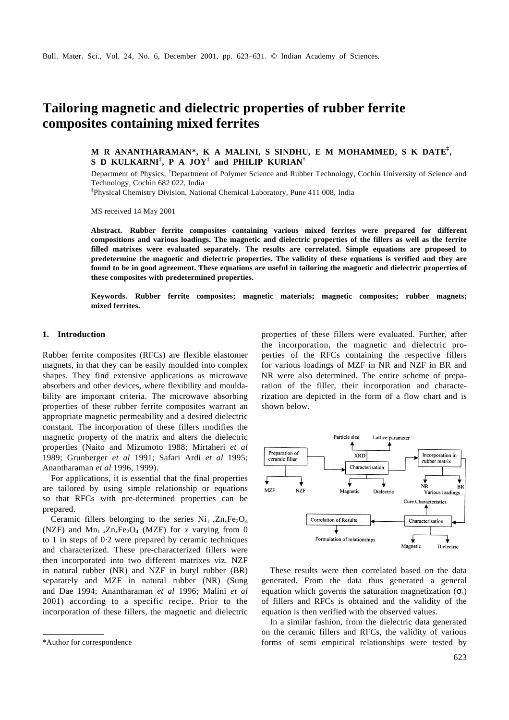# **Tailoring magnetic and dielectric properties of rubber ferrite composites containing mixed ferrites**

## **M R ANANTHARAMAN\*, K A MALINI, S SINDHU, E M MOHAMMED, S K DATE‡ , S D KULKARNI‡ , P A JOY‡ and PHILIP KURIAN†**

Department of Physics, †Department of Polymer Science and Rubber Technology, Cochin University of Science and Technology, Cochin 682 022, India

‡ Physical Chemistry Division, National Chemical Laboratory, Pune 411 008, India

MS received 14 May 2001

**Abstract. Rubber ferrite composites containing various mixed ferrites were prepared for different compositions and various loadings. The magnetic and dielectric properties of the fillers as well as the ferrite filled matrixes were evaluated separately. The results are correlated. Simple equations are proposed to predetermine the magnetic and dielectric properties. The validity of these equations is verified and they are found to be in good agreement. These equations are useful in tailoring the magnetic and dielectric properties of these composites with predetermined properties.**

**Keywords. Rubber ferrite composites; magnetic materials; magnetic composites; rubber magnets; mixed ferrites.**

## **1. Introduction**

Rubber ferrite composites (RFCs) are flexible elastomer magnets, in that they can be easily moulded into complex shapes. They find extensive applications as microwave absorbers and other devices, where flexibility and mouldability are important criteria. The microwave absorbing properties of these rubber ferrite composites warrant an appropriate magnetic permeability and a desired dielectric constant. The incorporation of these fillers modifies the magnetic property of the matrix and alters the dielectric properties (Naito and Mizumoto 1988; Mirtaheri *et al* 1989; Grunberger *et al* 1991; Safari Ardi *et al* 1995; Anantharaman *et al* 1996, 1999).

For applications, it is essential that the final properties are tailored by using simple relationship or equations so that RFCs with pre-determined properties can be prepared.

Ceramic fillers belonging to the series  $Ni_{1-x}Zn_xFe_2O_4$ (NZF) and  $Mn_1$ <sub>x</sub> $Zn_xFe_2O_4$  (MZF) for *x* varying from 0 to 1 in steps of 0⋅2 were prepared by ceramic techniques and characterized. These pre-characterized fillers were then incorporated into two different matrixes viz. NZF in natural rubber (NR) and NZF in butyl rubber (BR) separately and MZF in natural rubber (NR) (Sung and Dae 1994; Anantharaman *et al* 1996; Malini *et al* 2001) according to a specific recipe. Prior to the incorporation of these fillers, the magnetic and dielectric

properties of these fillers were evaluated. Further, after the incorporation, the magnetic and dielectric properties of the RFCs containing the respective fillers for various loadings of MZF in NR and NZF in BR and NR were also determined. The entire scheme of preparation of the filler, their incorporation and characterization are depicted in the form of a flow chart and is shown below.



These results were then correlated based on the data generated. From the data thus generated a general equation which governs the saturation magnetization  $(\mathbf{s}_s)$ of fillers and RFCs is obtained and the validity of the equation is then verified with the observed values.

In a similar fashion, from the dielectric data generated on the ceramic fillers and RFCs, the validity of various \*Author for correspondence forms of semi empirical relationships were tested by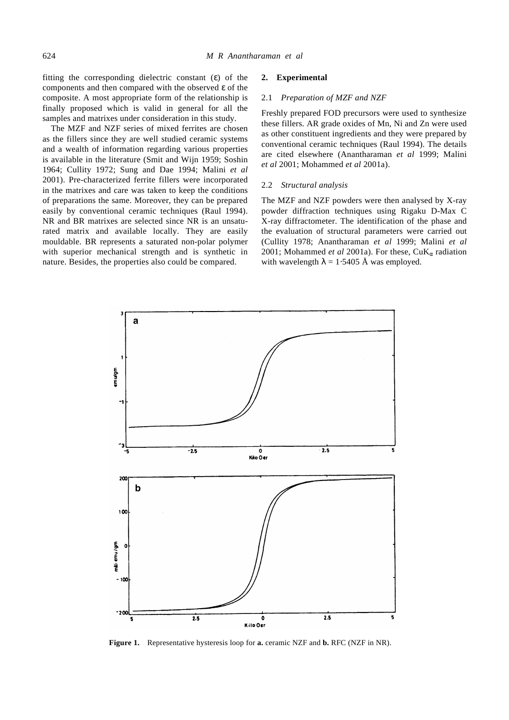fitting the corresponding dielectric constant (*e*) of the components and then compared with the observed *e* of the composite. A most appropriate form of the relationship is finally proposed which is valid in general for all the samples and matrixes under consideration in this study.

The MZF and NZF series of mixed ferrites are chosen as the fillers since they are well studied ceramic systems and a wealth of information regarding various properties is available in the literature (Smit and Wijn 1959; Soshin 1964; Cullity 1972; Sung and Dae 1994; Malini *et al* 2001). Pre-characterized ferrite fillers were incorporated in the matrixes and care was taken to keep the conditions of preparations the same. Moreover, they can be prepared easily by conventional ceramic techniques (Raul 1994). NR and BR matrixes are selected since NR is an unsaturated matrix and available locally. They are easily mouldable. BR represents a saturated non-polar polymer with superior mechanical strength and is synthetic in nature. Besides, the properties also could be compared.

#### **2. Experimental**

#### 2.1 *Preparation of MZF and NZF*

Freshly prepared FOD precursors were used to synthesize these fillers. AR grade oxides of Mn, Ni and Zn were used as other constituent ingredients and they were prepared by conventional ceramic techniques (Raul 1994). The details are cited elsewhere (Anantharaman *et al* 1999; Malini *et al* 2001; Mohammed *et al* 2001a).

#### 2.2 *Structural analysis*

The MZF and NZF powders were then analysed by X-ray powder diffraction techniques using Rigaku D-Max C X-ray diffractometer. The identification of the phase and the evaluation of structural parameters were carried out (Cullity 1978; Anantharaman *et al* 1999; Malini *et al* 2001; Mohammed *et al* 2001a). For these, CuK*a* radiation with wavelength  $I = 1.5405$  Å was employed.



**Figure 1.** Representative hysteresis loop for **a.** ceramic NZF and **b.** RFC (NZF in NR).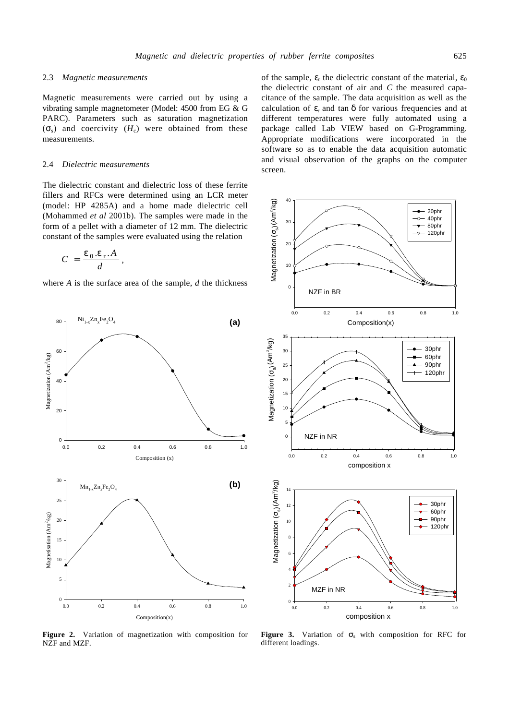### 2.3 *Magnetic measurements*

Magnetic measurements were carried out by using a vibrating sample magnetometer (Model: 4500 from EG & G PARC). Parameters such as saturation magnetization  $(\mathbf{s}_s)$  and coercivity  $(H_c)$  were obtained from these measurements.

## 2.4 *Dielectric measurements*

The dielectric constant and dielectric loss of these ferrite fillers and RFCs were determined using an LCR meter (model: HP 4285A) and a home made dielectric cell (Mohammed *et al* 2001b). The samples were made in the form of a pellet with a diameter of 12 mm. The dielectric constant of the samples were evaluated using the relation

$$
C = \frac{\mathbf{e}_0 . \mathbf{e}_r . A}{d},
$$

where *A* is the surface area of the sample, *d* the thickness



**Figure 2.** Variation of magnetization with composition for NZF and MZF.

of the sample,  $e_r$  the dielectric constant of the material,  $e_0$ the dielectric constant of air and *C* the measured capacitance of the sample. The data acquisition as well as the calculation of *e*r and tan *d* for various frequencies and at different temperatures were fully automated using a package called Lab VIEW based on G-Programming. Appropriate modifications were incorporated in the software so as to enable the data acquisition automatic and visual observation of the graphs on the computer screen.



Figure 3. Variation of  $S_5$  with composition for RFC for different loadings.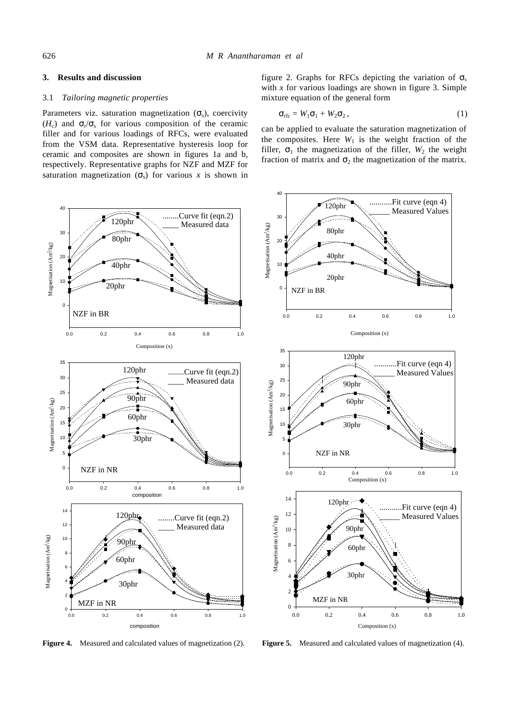## **3. Results and discussion**

#### 3.1 *Tailoring magnetic properties*

Parameters viz. saturation magnetization (S<sub>s</sub>), coercivity  $(H_c)$  and  $S_r / S_s$  for various composition of the ceramic filler and for various loadings of RFCs, were evaluated from the VSM data. Representative hysteresis loop for ceramic and composites are shown in figures 1a and b, respectively. Representative graphs for NZF and MZF for saturation magnetization  $(s_5)$  for various x is shown in



**Figure 4.** Measured and calculated values of magnetization (2).

figure 2. Graphs for RFCs depicting the variation of  $S_s$ with *x* for various loadings are shown in figure 3. Simple mixture equation of the general form

$$
\mathbf{S}_{\rm rfc} = W_1 \mathbf{S}_1 + W_2 \mathbf{S}_2, \qquad (1)
$$

can be applied to evaluate the saturation magnetization of the composites. Here  $W_1$  is the weight fraction of the filler,  $S_1$  the magnetization of the filler,  $W_2$  the weight fraction of matrix and  $S_2$  the magnetization of the matrix.



**Figure 5.** Measured and calculated values of magnetization (4).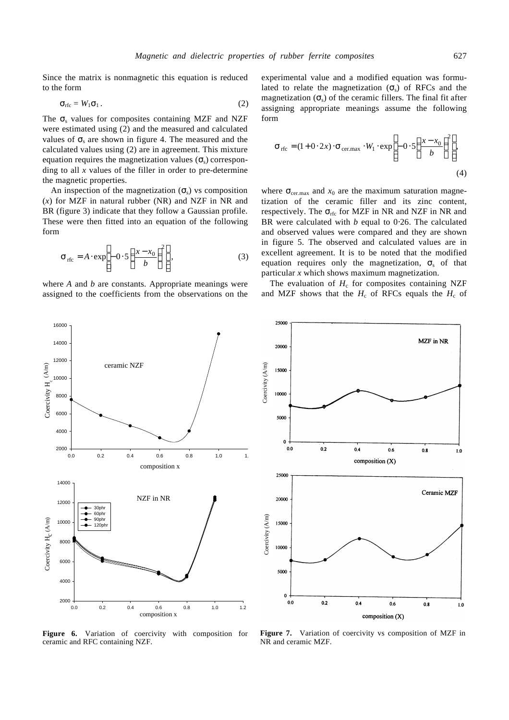Since the matrix is nonmagnetic this equation is reduced to the form

$$
\mathbf{S}_{\rm rfc} = W_1 \mathbf{S}_1 \,. \tag{2}
$$

The  $S<sub>s</sub>$  values for composites containing MZF and NZF were estimated using (2) and the measured and calculated values of  $S<sub>s</sub>$  are shown in figure 4. The measured and the calculated values using (2) are in agreement. This mixture equation requires the magnetization values  $(\mathbf{s}_s)$  corresponding to all *x* values of the filler in order to pre-determine the magnetic properties.

An inspection of the magnetization  $(s<sub>s</sub>)$  vs composition (*x*) for MZF in natural rubber (NR) and NZF in NR and BR (figure 3) indicate that they follow a Gaussian profile. These were then fitted into an equation of the following form

$$
\mathbf{S}_{\text{rfc}} = A \cdot \exp\left[-0.5 \left(\frac{x - x_0}{b}\right)^2\right],\tag{3}
$$

where *A* and *b* are constants. Appropriate meanings were assigned to the coefficients from the observations on the experimental value and a modified equation was formulated to relate the magnetization  $(s<sub>s</sub>)$  of RFCs and the magnetization  $(\mathbf{s}_s)$  of the ceramic fillers. The final fit after assigning appropriate meanings assume the following form

$$
\mathbf{s}_{\text{rfc}} = (1 + 0.2x) \cdot \mathbf{s}_{\text{cer.max}} \cdot W_1 \cdot \exp\left[-0.5\left(\frac{x - x_0}{b}\right)^2\right],\tag{4}
$$

where  $S_{\text{cer,max}}$  and  $x_0$  are the maximum saturation magnetization of the ceramic filler and its zinc content, respectively. The  $S$ <sub>rfc</sub> for MZF in NR and NZF in NR and BR were calculated with *b* equal to 0⋅26. The calculated and observed values were compared and they are shown in figure 5. The observed and calculated values are in excellent agreement. It is to be noted that the modified equation requires only the magnetization,  $S_s$  of that particular *x* which shows maximum magnetization.

The evaluation of  $H_c$  for composites containing NZF and MZF shows that the  $H_c$  of RFCs equals the  $H_c$  of



**Figure 6.** Variation of coercivity with composition for ceramic and RFC containing NZF.



**Figure 7.** Variation of coercivity vs composition of MZF in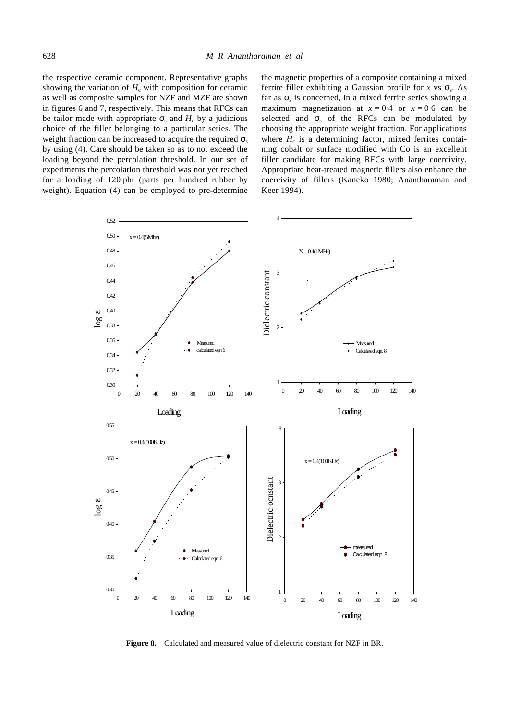the respective ceramic component. Representative graphs showing the variation of  $H<sub>c</sub>$  with composition for ceramic as well as composite samples for NZF and MZF are shown in figures 6 and 7, respectively. This means that RFCs can be tailor made with appropriate  $S<sub>s</sub>$  and  $H<sub>c</sub>$  by a judicious choice of the filler belonging to a particular series. The weight fraction can be increased to acquire the required  $\mathbf{s}_s$ by using (4). Care should be taken so as to not exceed the loading beyond the percolation threshold. In our set of experiments the percolation threshold was not yet reached for a loading of 120 phr (parts per hundred rubber by weight). Equation (4) can be employed to pre-determine

the magnetic properties of a composite containing a mixed ferrite filler exhibiting a Gaussian profile for *x* vs  $S_s$ . As far as  $S<sub>s</sub>$  is concerned, in a mixed ferrite series showing a maximum magnetization at  $x = 0.4$  or  $x = 0.6$  can be selected and  $S<sub>s</sub>$  of the RFCs can be modulated by choosing the appropriate weight fraction. For applications where  $H_c$  is a determining factor, mixed ferrites containing cobalt or surface modified with Co is an excellent filler candidate for making RFCs with large coercivity. Appropriate heat-treated magnetic fillers also enhance the coercivity of fillers (Kaneko 1980; Anantharaman and Keer 1994).



**Figure 8.** Calculated and measured value of dielectric constant for NZF in BR.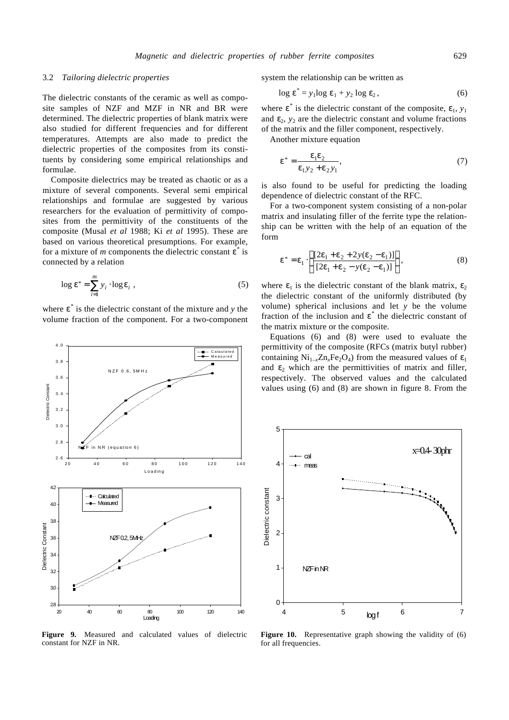#### 3.2 *Tailoring dielectric properties*

The dielectric constants of the ceramic as well as composite samples of NZF and MZF in NR and BR were determined. The dielectric properties of blank matrix were also studied for different frequencies and for different temperatures. Attempts are also made to predict the dielectric properties of the composites from its constituents by considering some empirical relationships and formulae.

Composite dielectrics may be treated as chaotic or as a mixture of several components. Several semi empirical relationships and formulae are suggested by various researchers for the evaluation of permittivity of composites from the permittivity of the constituents of the composite (Musal *et al* 1988; Ki *et al* 1995). These are based on various theoretical presumptions. For example, for a mixture of *m* components the dielectric constant *e* \* is connected by a relation

$$
\log \mathbf{e}^* = \sum_{i=1}^{m} y_i \cdot \log \mathbf{e}_i , \qquad (5)
$$

where  $e^*$  is the dielectric constant of the mixture and *y* the volume fraction of the component. For a two-component



**Figure 9.** Measured and calculated values of dielectric constant for NZF in NR.

system the relationship can be written as

$$
\log \boldsymbol{e}^* = y_1 \log \boldsymbol{e}_1 + y_2 \log \boldsymbol{e}_2, \qquad (6)
$$

where  $e^*$  is the dielectric constant of the composite,  $e_1$ ,  $y_1$ and  $e_2$ ,  $y_2$  are the dielectric constant and volume fractions of the matrix and the filler component, respectively.

Another mixture equation

$$
\mathbf{e}^* = \frac{\mathbf{e}_1 \mathbf{e}_2}{\mathbf{e}_1 y_2 + \mathbf{e}_2 y_1},\tag{7}
$$

is also found to be useful for predicting the loading dependence of dielectric constant of the RFC.

For a two-component system consisting of a non-polar matrix and insulating filler of the ferrite type the relationship can be written with the help of an equation of the form

$$
\mathbf{e}^* = \mathbf{e}_1 \cdot \left\{ \frac{[2\mathbf{e}_1 + \mathbf{e}_2 + 2y(\mathbf{e}_2 - \mathbf{e}_1)]}{[2\mathbf{e}_1 + \mathbf{e}_2 - y(\mathbf{e}_2 - \mathbf{e}_1)]} \right\},
$$
(8)

where  $e_1$  is the dielectric constant of the blank matrix,  $e_2$ the dielectric constant of the uniformly distributed (by volume) spherical inclusions and let *y* be the volume fraction of the inclusion and  $e^*$  the dielectric constant of the matrix mixture or the composite.

Equations (6) and (8) were used to evaluate the permittivity of the composite (RFCs (matrix butyl rubber) containing  $Ni_{1-x}Zn_xFe_2O_4$ ) from the measured values of  $e_1$ and  $e_2$  which are the permittivities of matrix and filler, respectively. The observed values and the calculated values using (6) and (8) are shown in figure 8. From the



Figure 10. Representative graph showing the validity of (6) for all frequencies.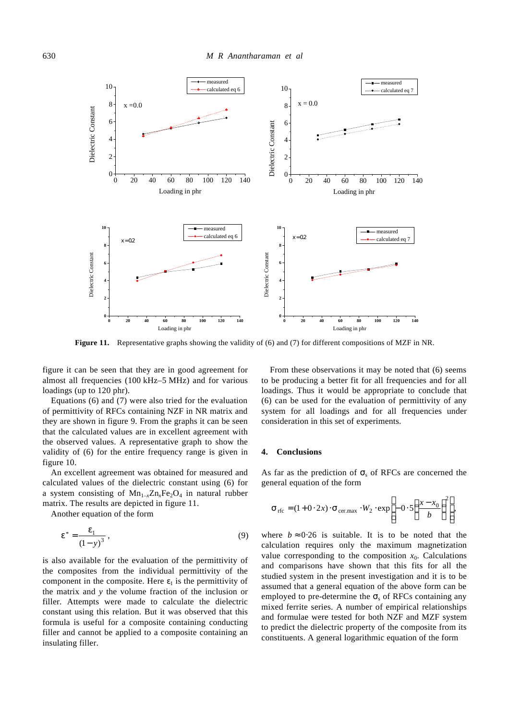

**Figure 11.** Representative graphs showing the validity of (6) and (7) for different compositions of MZF in NR.

figure it can be seen that they are in good agreement for almost all frequencies (100 kHz–5 MHz) and for various loadings (up to 120 phr).

Equations (6) and (7) were also tried for the evaluation of permittivity of RFCs containing NZF in NR matrix and they are shown in figure 9. From the graphs it can be seen that the calculated values are in excellent agreement with the observed values. A representative graph to show the validity of (6) for the entire frequency range is given in figure 10.

An excellent agreement was obtained for measured and calculated values of the dielectric constant using (6) for a system consisting of  $Mn_{1-x}Zn_xFe_2O_4$  in natural rubber matrix. The results are depicted in figure 11.

Another equation of the form

$$
e^* = \frac{e_1}{(1-y)^3},
$$
\n(9)

is also available for the evaluation of the permittivity of the composites from the individual permittivity of the component in the composite. Here  $e_1$  is the permittivity of the matrix and *y* the volume fraction of the inclusion or filler. Attempts were made to calculate the dielectric constant using this relation. But it was observed that this formula is useful for a composite containing conducting filler and cannot be applied to a composite containing an insulating filler.

From these observations it may be noted that (6) seems to be producing a better fit for all frequencies and for all loadings. Thus it would be appropriate to conclude that (6) can be used for the evaluation of permittivity of any system for all loadings and for all frequencies under consideration in this set of experiments.

### **4. Conclusions**

As far as the prediction of  $S<sub>s</sub>$  of RFCs are concerned the general equation of the form

$$
\mathbf{S}_{\text{rfc}} = (1 + 0.2x) \cdot \mathbf{S}_{\text{cer.max}} \cdot W_2 \cdot \exp\left[-0.5\left(\frac{x - x_0}{b}\right)^2\right],
$$

where  $b \approx 0.26$  is suitable. It is to be noted that the calculation requires only the maximum magnetization value corresponding to the composition  $x_0$ . Calculations and comparisons have shown that this fits for all the studied system in the present investigation and it is to be assumed that a general equation of the above form can be employed to pre-determine the  $S<sub>s</sub>$  of RFCs containing any mixed ferrite series. A number of empirical relationships and formulae were tested for both NZF and MZF system to predict the dielectric property of the composite from its constituents. A general logarithmic equation of the form